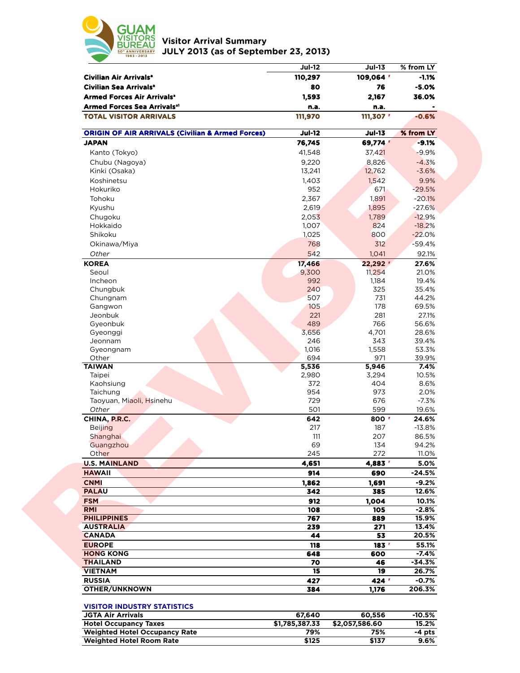

**Visitor Arrival Summary JULY 2013 (as of September 23, 2013)** 

|                                                                      | <b>Jul-12</b>         | <b>Jul-13</b>         | % from LY         |
|----------------------------------------------------------------------|-----------------------|-----------------------|-------------------|
| Civilian Air Arrivals <sup>a</sup>                                   | 110,297               | 109,064               | $-1.1%$           |
| Civilian Sea Arrivals <sup>a</sup>                                   | 80                    | 76                    | $-5.0%$           |
| <b>Armed Forces Air Arrivals<sup>®</sup></b>                         | 1,593                 | 2,167                 | 36.0%             |
| <b>Armed Forces Sea Arrivals<sup>a1</sup></b>                        | n.a.                  | n.a.                  |                   |
| <b>TOTAL VISITOR ARRIVALS</b>                                        | 111,970               | 111,307 '             | $-0.6%$           |
| <b>ORIGIN OF AIR ARRIVALS (Civilian &amp; Armed Forces)</b>          | <b>Jul-12</b>         | <b>Jul-13</b>         | % from LY         |
| <b>JAPAN</b>                                                         | 76,745                | 69,774 '              | $-9.1%$           |
| Kanto (Tokyo)                                                        | 41,548                | 37,421                | $-9.9%$           |
| Chubu (Nagoya)                                                       | 9,220                 | 8,826                 | $-4.3%$           |
| Kinki (Osaka)                                                        | 13,241                | 12,762                | $-3.6%$           |
| Koshinetsu                                                           | 1,403                 | 1,542                 | 9.9%              |
| Hokuriko                                                             | 952                   | 671                   | $-29.5%$          |
| Tohoku                                                               | 2,367                 | 1,891                 | $-20.1%$          |
| Kyushu                                                               | 2,619                 | 1,895                 | $-27.6%$          |
| Chugoku                                                              | 2,053                 | 1,789                 | $-12.9%$          |
| Hokkaido                                                             | 1,007                 | 824                   | $-18.2%$          |
| Shikoku                                                              | 1,025                 | 800                   | $-22.0%$          |
| Okinawa/Miya                                                         | 768                   | 312                   | $-59.4%$          |
| Other                                                                | 542                   | 1,041                 | 92.1%             |
| <b>KOREA</b>                                                         | 17,466                | 22,292                | 27.6%             |
| Seoul                                                                | 9,300                 | 11,254                | 21.0%             |
| Incheon                                                              | 992                   | 1,184                 | 19.4%             |
| Chungbuk                                                             | 240                   | 325                   | 35.4%             |
| Chungnam                                                             | 507                   | 731                   | 44.2%             |
| Gangwon                                                              | 105                   | 178                   | 69.5%             |
| Jeonbuk                                                              | 221                   | 281                   | 27.1%             |
| Gyeonbuk                                                             | 489                   | 766                   | 56.6%             |
| Gyeonggi                                                             | 3,656                 | 4,701                 | 28.6%             |
| Jeonnam                                                              | 246                   | 343                   | 39.4%             |
| Gyeongnam                                                            | 1,016                 | 1,558                 | 53.3%             |
| Other                                                                | 694                   | 971                   | 39.9%             |
| <b>TAIWAN</b>                                                        | 5,536                 | 5,946                 | 7.4%              |
| Taipei                                                               | 2,980                 | 3,294<br>404          | 10.5%             |
| Kaohsiung<br>Taichung                                                | 372<br>954            | 973                   | 8.6%<br>2.0%      |
| Taoyuan, Miaoli, Hsinehu                                             | 729                   | 676                   | $-7.3%$           |
| Other                                                                | 501                   | 599                   | 19.6%             |
| CHINA, P.R.C.                                                        | 642                   | 800 r                 | 24.6%             |
| <b>Beijing</b>                                                       | 217                   | 187                   | $-13.8%$          |
| Shanghai                                                             | 111                   | 207                   | 86.5%             |
| Guangzhou                                                            | 69                    | 134                   | 94.2%             |
| Other                                                                | 245                   | 272                   | 11.0%             |
| <b>U.S. MAINLAND</b>                                                 | 4,651                 | 4.883                 | 5.0%              |
| <b>HAWAII</b>                                                        | 914                   | 690                   | $-24.5%$          |
| <b>CNMI</b>                                                          | 1,862                 | 1,691                 | $-9.2%$           |
| <b>PALAU</b>                                                         | 342                   | 385                   | 12.6%             |
| <b>FSM</b>                                                           | 912                   | 1,004                 | 10.1%             |
| <b>RMI</b>                                                           | 108                   | 105                   | $-2.8%$           |
| <b>PHILIPPINES</b>                                                   | 767                   | 889                   | 15.9%             |
| <b>AUSTRALIA</b>                                                     | 239                   | 271                   | 13.4%             |
| <b>CANADA</b>                                                        | 44                    | 53                    | 20.5%             |
| <b>EUROPE</b>                                                        | 118                   | 183 <sup>r</sup>      | 55.1%             |
| <b>HONG KONG</b>                                                     | 648                   | 600                   | $-7.4%$           |
| <b>THAILAND</b>                                                      | 70                    | 46                    | -34.3%            |
| <b>VIETNAM</b>                                                       | $\overline{15}$       | 19                    | 26.7%             |
| <b>RUSSIA</b>                                                        | 427                   | 424 <sup>r</sup>      | $-0.7%$           |
|                                                                      | 384                   | 1,176                 | 206.3%            |
| OTHER/UNKNOWN                                                        |                       |                       |                   |
|                                                                      |                       |                       |                   |
| <b>VISITOR INDUSTRY STATISTICS</b>                                   |                       |                       |                   |
| <b>JGTA Air Arrivals</b>                                             | 67,640                | 60,556                | $-10.5%$          |
| <b>Hotel Occupancy Taxes</b><br><b>Weighted Hotel Occupancy Rate</b> | \$1,785,387.33<br>79% | \$2,057,586.60<br>75% | 15.2%<br>$-4$ pts |